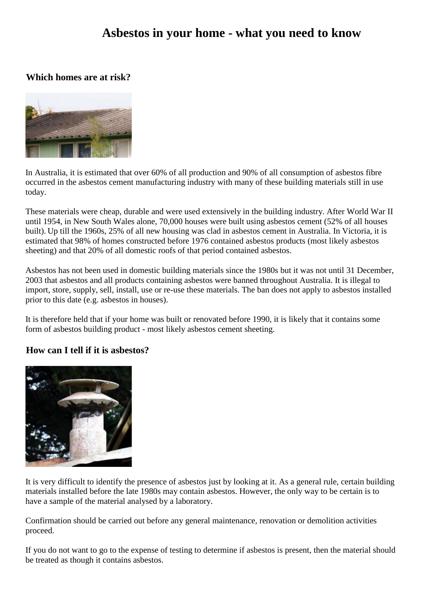# **Asbestos in your home - what you need to know**

#### **Which homes are at risk?**



In Australia, it is estimated that over 60% of all production and 90% of all consumption of asbestos fibre occurred in the asbestos cement manufacturing industry with many of these building materials still in use today.

These materials were cheap, durable and were used extensively in the building industry. After World War II until 1954, in New South Wales alone, 70,000 houses were built using asbestos cement (52% of all houses built). Up till the 1960s, 25% of all new housing was clad in asbestos cement in Australia. In Victoria, it is estimated that 98% of homes constructed before 1976 contained asbestos products (most likely asbestos sheeting) and that 20% of all domestic roofs of that period contained asbestos.

Asbestos has not been used in domestic building materials since the 1980s but it was not until 31 December, 2003 that asbestos and all products containing asbestos were banned throughout Australia. It is illegal to import, store, supply, sell, install, use or re-use these materials. The ban does not apply to asbestos installed prior to this date (e.g. asbestos in houses).

It is therefore held that if your home was built or renovated before 1990, it is likely that it contains some form of asbestos building product - most likely asbestos cement sheeting.

## **How can I tell if it is asbestos?**



It is very difficult to identify the presence of asbestos just by looking at it. As a general rule, certain building materials installed before the late 1980s may contain asbestos. However, the only way to be certain is to have a sample of the material analysed by a laboratory.

Confirmation should be carried out before any general maintenance, renovation or demolition activities proceed.

If you do not want to go to the expense of testing to determine if asbestos is present, then the material should be treated as though it contains asbestos.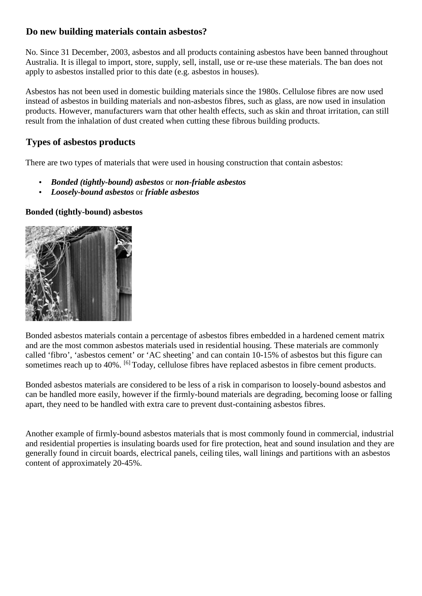## **Do new building materials contain asbestos?**

No. Since 31 December, 2003, asbestos and all products containing asbestos have been banned throughout Australia. It is illegal to import, store, supply, sell, install, use or re-use these materials. The ban does not apply to asbestos installed prior to this date (e.g. asbestos in houses).

Asbestos has not been used in domestic building materials since the 1980s. Cellulose fibres are now used instead of asbestos in building materials and non-asbestos fibres, such as glass, are now used in insulation products. However, manufacturers warn that other health effects, such as skin and throat irritation, can still result from the inhalation of dust created when cutting these fibrous building products.

# **Types of asbestos products**

There are two types of materials that were used in housing construction that contain asbestos:

- *Bonded (tightly-bound) asbestos* or *non-friable asbestos*
- *Loosely-bound asbestos* or *friable asbestos*

#### **Bonded (tightly-bound) asbestos**



Bonded asbestos materials contain a percentage of asbestos fibres embedded in a hardened cement matrix and are the most common asbestos materials used in residential housing. These materials are commonly called 'fibro', 'asbestos cement' or 'AC sheeting' and can contain 10-15% of asbestos but this figure can sometimes reach up to 40%. <sup>[6]</sup> Today, cellulose fibres have replaced asbestos in fibre cement products.

Bonded asbestos materials are considered to be less of a risk in comparison to loosely-bound asbestos and can be handled more easily, however if the firmly-bound materials are degrading, becoming loose or falling apart, they need to be handled with extra care to prevent dust-containing asbestos fibres.

Another example of firmly-bound asbestos materials that is most commonly found in commercial, industrial and residential properties is insulating boards used for fire protection, heat and sound insulation and they are generally found in circuit boards, electrical panels, ceiling tiles, wall linings and partitions with an asbestos content of approximately 20-45%.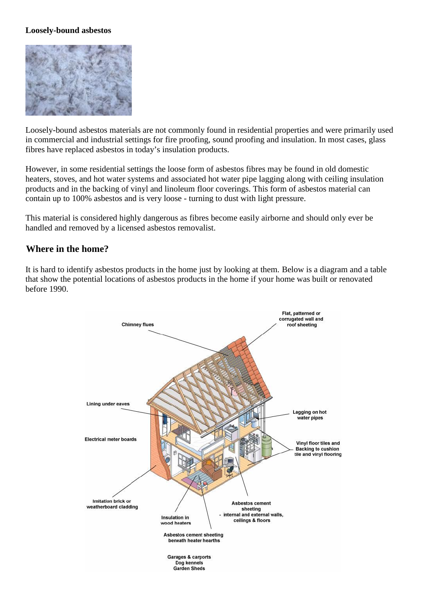#### **Loosely-bound asbestos**



Loosely-bound asbestos materials are not commonly found in residential properties and were primarily used in commercial and industrial settings for fire proofing, sound proofing and insulation. In most cases, glass fibres have replaced asbestos in today's insulation products.

However, in some residential settings the loose form of asbestos fibres may be found in old domestic heaters, stoves, and hot water systems and associated hot water pipe lagging along with ceiling insulation products and in the backing of vinyl and linoleum floor coverings. This form of asbestos material can contain up to 100% asbestos and is very loose - turning to dust with light pressure.

This material is considered highly dangerous as fibres become easily airborne and should only ever be handled and removed by a licensed asbestos removalist.

#### **Where in the home?**

It is hard to identify asbestos products in the home just by looking at them. Below is a diagram and a table that show the potential locations of asbestos products in the home if your home was built or renovated before 1990.